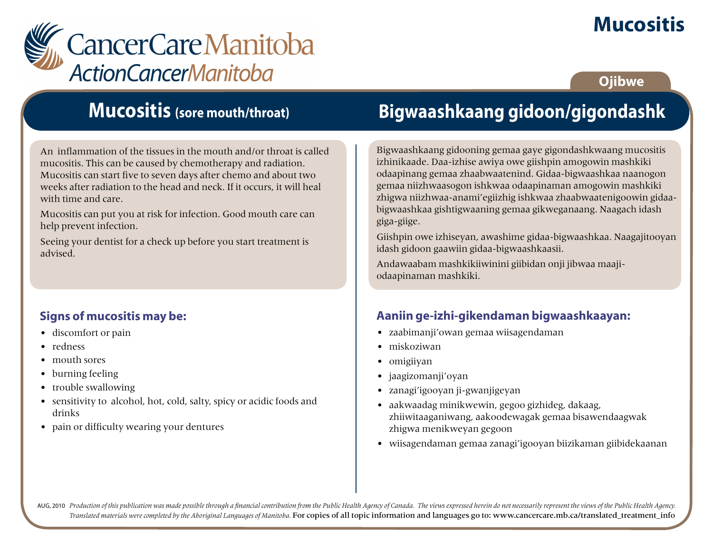# **Mucositis**



### **Ojibwe**

### **Mucositis (sore mouth/throat)**

An inflammation of the tissues in the mouth and/or throat is called mucositis. This can be caused by chemotherapy and radiation. Mucositis can start five to seven days after chemo and about two weeks after radiation to the head and neck. If it occurs, it will heal with time and care.

Mucositis can put you at risk for infection. Good mouth care can help prevent infection.

Seeing your dentist for a check up before you start treatment is advised.

### **Signs of mucositis may be:**

- discomfort or pain
- redness
- mouth sores
- burning feeling
- trouble swallowing
- sensitivity to alcohol, hot, cold, salty, spicy or acidic foods and drinks
- pain or difficulty wearing your dentures

# **Bigwaashkaang gidoon/gigondashk**

Bigwaashkaang gidooning gemaa gaye gigondashkwaang mucositis izhinikaade. Daa-izhise awiya owe giishpin amogowin mashkiki odaapinang gemaa zhaabwaatenind. Gidaa-bigwaashkaa naanogon gemaa niizhwaasogon ishkwaa odaapinaman amogowin mashkiki zhigwa niizhwaa-anami'egiizhig ishkwaa zhaabwaatenigoowin gidaabigwaashkaa gishtigwaaning gemaa gikweganaang. Naagach idash giga-giige.

Giishpin owe izhiseyan, awashime gidaa-bigwaashkaa. Naagajitooyan idash gidoon gaawiin gidaa-bigwaashkaasii.

Andawaabam mashkikiiwinini giibidan onji jibwaa maajiodaapinaman mashkiki.

### **Aaniin ge-izhi-gikendaman bigwaashkaayan:**

- zaabimanji'owan gemaa wiisagendaman
- miskoziwan
- omigiiyan
- jaagizomanji'oyan
- zanagi'igooyan ji-gwanjigeyan
- aakwaadag minikwewin, gegoo gizhideg, dakaag, zhiiwitaaganiwang, aakoodewagak gemaa bisawendaagwak zhigwa menikweyan gegoon
- wiisagendaman gemaa zanagi'igooyan biizikaman giibidekaanan

AUG, 2010 Production of this publication was made possible through a financial contribution from the Public Health Agency of Canada. The views expressed herein do not necessarily represent the views of the Public Health Ag *Translated materials were completed by the Aboriginal Languages of Manitoba.* For copies of all topic information and languages go to: www.cancercare.mb.ca/translated\_treatment\_info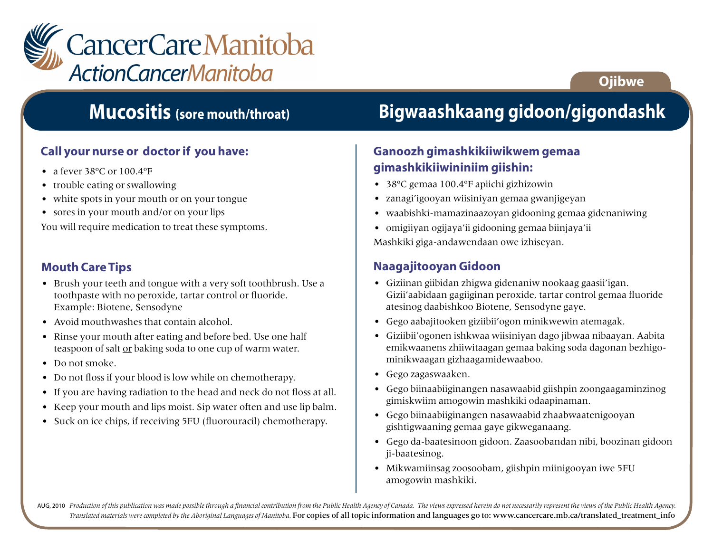

## **Mucositis (sore mouth/throat)**

### **Call your nurse or doctor if you have:**

- a fever 38°C or 100.4°F
- trouble eating or swallowing
- white spots in your mouth or on your tongue
- sores in your mouth and/or on your lips

You will require medication to treat these symptoms.

#### **Mouth Care Tips**

- Brush your teeth and tongue with a very soft toothbrush. Use a toothpaste with no peroxide, tartar control or fluoride. Example: Biotene, Sensodyne
- Avoid mouthwashes that contain alcohol.
- Rinse your mouth after eating and before bed. Use one half teaspoon of salt or baking soda to one cup of warm water.
- Do not smoke.
- Do not floss if your blood is low while on chemotherapy.
- If you are having radiation to the head and neck do not floss at all.
- Keep your mouth and lips moist. Sip water often and use lip balm.
- Suck on ice chips, if receiving 5FU (fluorouracil) chemotherapy.

## **Bigwaashkaang gidoon/gigondashk**

**Ojibwe**

### **Ganoozh gimashkikiiwikwem gemaa gimashkikiiwininiim giishin:**

- 38ºC gemaa 100.4ºF apiichi gizhizowin
- zanagi'igooyan wiisiniyan gemaa gwanjigeyan
- waabishki-mamazinaazoyan gidooning gemaa gidenaniwing
- omigiiyan ogijaya'ii gidooning gemaa biinjaya'ii

Mashkiki giga-andawendaan owe izhiseyan.

#### **Naagajitooyan Gidoon**

- Giziinan giibidan zhigwa gidenaniw nookaag gaasii'igan. Gizii'aabidaan gagiiginan peroxide, tartar control gemaa fluoride atesinog daabishkoo Biotene, Sensodyne gaye.
- Gego aabajitooken giziibii'ogon minikwewin atemagak.
- Giziibii'ogonen ishkwaa wiisiniyan dago jibwaa nibaayan. Aabita emikwaanens zhiiwitaagan gemaa baking soda dagonan bezhigominikwaagan gizhaagamidewaaboo.
- Gego zagaswaaken.
- Gego biinaabiiginangen nasawaabid giishpin zoongaagaminzinog gimiskwiim amogowin mashkiki odaapinaman.
- Gego biinaabiiginangen nasawaabid zhaabwaatenigooyan gishtigwaaning gemaa gaye gikweganaang.
- Gego da-baatesinoon gidoon. Zaasoobandan nibi, boozinan gidoon ji-baatesinog.
- Mikwamiinsag zoosoobam, giishpin miinigooyan iwe 5FU amogowin mashkiki.

AUG, 2010 Production of this publication was made possible through a financial contribution from the Public Health Agency of Canada. The views expressed herein do not necessarily represent the views of the Public Health Ag *Translated materials were completed by the Aboriginal Languages of Manitoba.* For copies of all topic information and languages go to: www.cancercare.mb.ca/translated\_treatment\_info